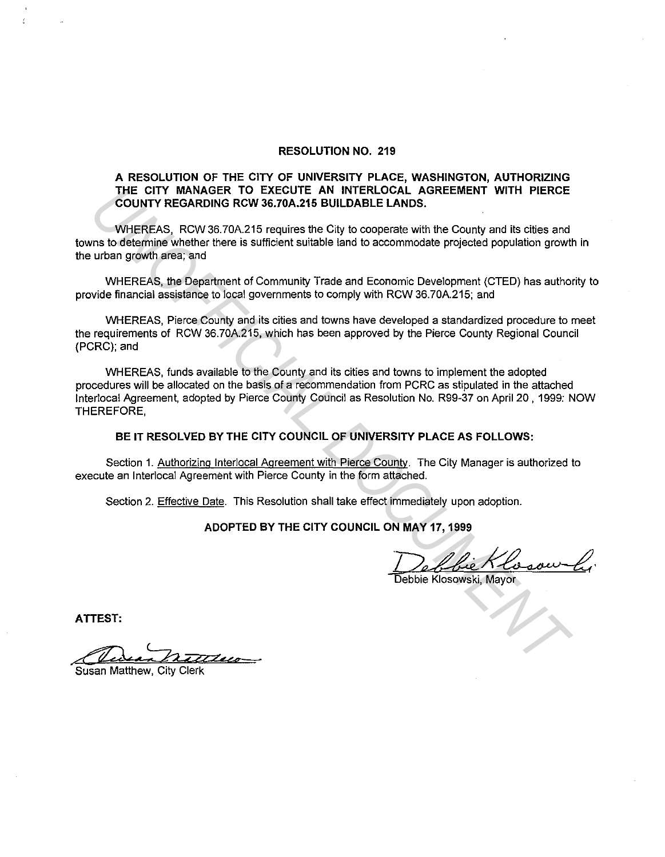## **RESOLUTION NO. 219**

## **A RESOLUTION OF THE CITY OF UNIVERSITY PLACE, WASHINGTON, AUTHORIZING THE CITY MANAGER TO EXECUTE AN INTERLOCAL AGREEMENT WITH PIERCE COUNTY REGARDING RCW 36.70A.215 BUILDABLE LANDS.**

WHEREAS, RCW 36.70A.215 requires the City to cooperate with the County and its cities and towns to determine whether there is sufficient suitable land to accommodate projected population growth in the urban growth area; and

WHEREAS, the Department of Community Trade and Economic Development (CTED) has authority to provide financial assistance to local governments to comply with RCW 36.70A.215; and

WHEREAS, Pierce County and its cities and towns have developed a standardized procedure to meet the requirements of RCW 36.70A.215, which has been approved by the Pierce County Regional Council (PCRC); and

WHEREAS, funds available to the County and its cities and towns to implement the adopted procedures will be allocated on the basis of a recommendation from PCRC as stipulated in the attached lnterlocal Agreement, adopted by Pierce County Council as Resolution No. R99-37 on April 20 , 1999: NOW THEREFORE, THE CITY MANAGER TO EXECUTE AN INTERLOCAL AGREMENT WITH PIERCE<br>COUNTY REGARDING RCW 36,70A.215 BUILDABLE LANDS.<br>WHEREAS, RCW 35.70A.215 requires the City to cooperate with the County and its cities and<br>urban growth area, a

# **BE IT RESOLVED BY THE CITY COUNCIL OF UNIVERSITY PLACE AS FOLLOWS:**

Section 1. Authorizing Interlocal Agreement with Pierce County. The City Manager is authorized to execute an lnterlocal Agreement with Pierce County in the form attached.

Section 2. Effective Date. This Resolution shall take effect immediately upon adoption.

## **ADOPTED BY THE CITY COUNCIL ON MAY 17, 1999**

Debbie Klosow Li

**ATTEST:** 

Caun monde

Susan Matthew, City Clerk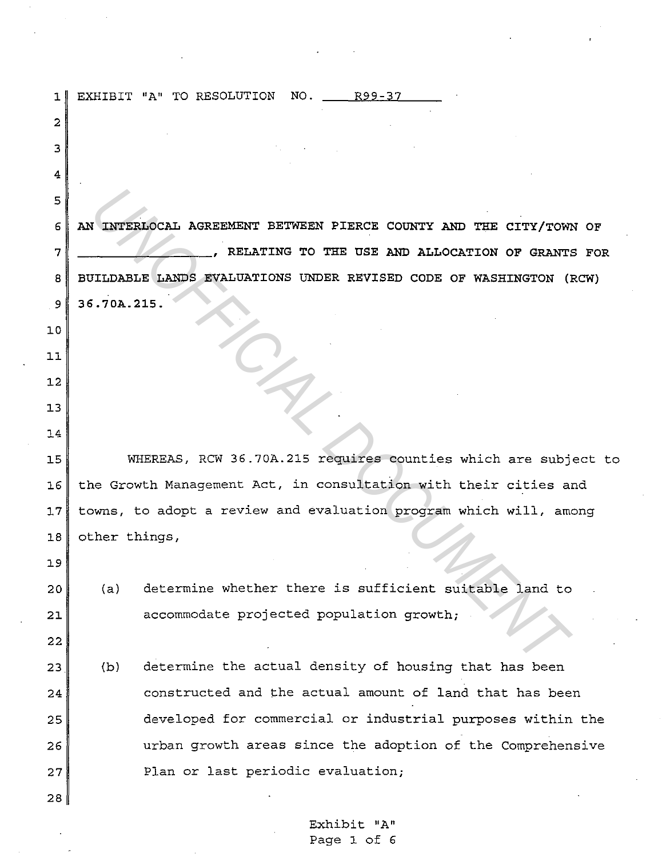| ı               |                                                                    | EXHIBIT "A" TO RESOLUTION NO. 1899-37                             |  |  |  |  |  |  |
|-----------------|--------------------------------------------------------------------|-------------------------------------------------------------------|--|--|--|--|--|--|
| 2               |                                                                    |                                                                   |  |  |  |  |  |  |
| з               |                                                                    |                                                                   |  |  |  |  |  |  |
| 4               |                                                                    |                                                                   |  |  |  |  |  |  |
| 5               |                                                                    |                                                                   |  |  |  |  |  |  |
| 6               | AN INTERLOCAL AGREEMENT BETWEEN PIERCE COUNTY AND THE CITY/TOWN OF |                                                                   |  |  |  |  |  |  |
| 7               | RELATING TO THE USE AND ALLOCATION OF GRANTS FOR                   |                                                                   |  |  |  |  |  |  |
| 8               | BUILDABLE LANDS EVALUATIONS UNDER REVISED CODE OF WASHINGTON (RCW) |                                                                   |  |  |  |  |  |  |
| $\mathbf{9}$    | 36.70A.215.                                                        |                                                                   |  |  |  |  |  |  |
| 10              |                                                                    |                                                                   |  |  |  |  |  |  |
| 11              |                                                                    |                                                                   |  |  |  |  |  |  |
| 12              |                                                                    |                                                                   |  |  |  |  |  |  |
| 13              |                                                                    |                                                                   |  |  |  |  |  |  |
| 14              |                                                                    |                                                                   |  |  |  |  |  |  |
| 15              |                                                                    | WHEREAS, RCW 36.70A.215 requires counties which are subject to    |  |  |  |  |  |  |
| 16              | the Growth Management Act, in consultation with their cities and   |                                                                   |  |  |  |  |  |  |
| 17 <sub>1</sub> |                                                                    | towns, to adopt a review and evaluation program which will, among |  |  |  |  |  |  |
| 18              | other things,                                                      |                                                                   |  |  |  |  |  |  |
| 19              |                                                                    |                                                                   |  |  |  |  |  |  |
| 20              | (a)                                                                | determine whether there is sufficient suitable land to            |  |  |  |  |  |  |
| 21              |                                                                    | accommodate projected population growth;                          |  |  |  |  |  |  |
| 22              |                                                                    |                                                                   |  |  |  |  |  |  |
| 23              | (b)                                                                | determine the actual density of housing that has been             |  |  |  |  |  |  |
| 24              |                                                                    | constructed and the actual amount of land that has been           |  |  |  |  |  |  |
| 25              |                                                                    | developed for commercial or industrial purposes within the        |  |  |  |  |  |  |
| 26              |                                                                    | urban growth areas since the adoption of the Comprehensive        |  |  |  |  |  |  |
| 27              |                                                                    | Plan or last periodic evaluation;                                 |  |  |  |  |  |  |
| 28              |                                                                    |                                                                   |  |  |  |  |  |  |

 $\sim$ 

Exhibit "A" Page 1 of 6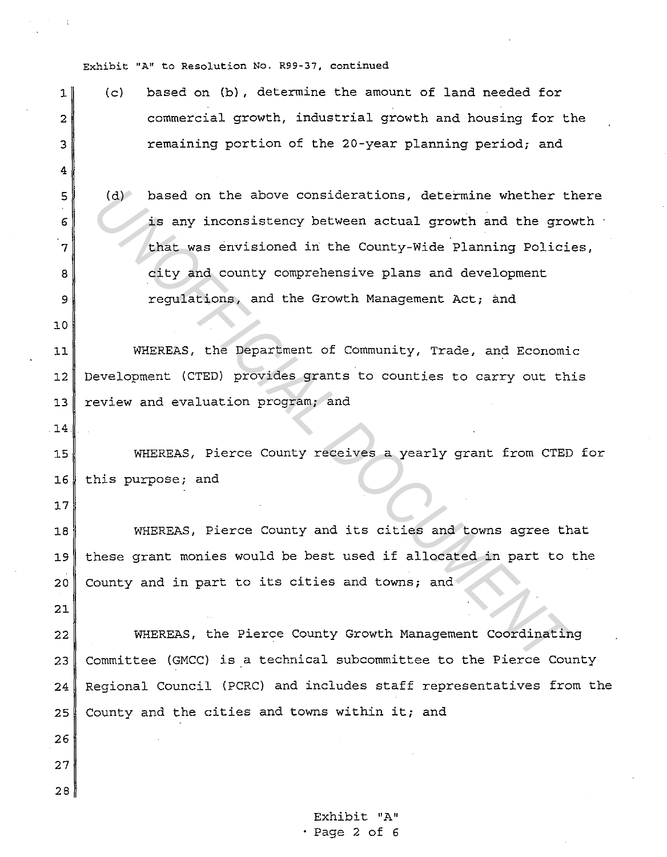**Exhibit** "A11 **to Resolution** No. **R99-37, continued** 

4

10

14

17

21

26

27

28

- $1\parallel$  (c) based on (b), determine the amount of land needed for 2 commercial growth, industrial growth and housing for the 3 remaining portion of the 20-year planning period; and
- $5$  (d) based on the above considerations, determine whether there  $6$  is any inconsistency between actual growth and the growth 7 that was envisioned in the County-Wide Planning Policies, 8 city and county comprehensive plans and development 9 **Paraguilations, and the Growth Management Act**; and (d) based on the above considerations, determine whether the sample is any inconsistency between actual growth and the growth and the growth and county comprehensive plans and development regulations, and the Growth Manage

11 WHEREAS, the Department of Community, Trade, and Economic 12 Development (CTED) provides grants to counties to carry out this 13 review and evaluation program; and

15 WHEREAS, Pierce County receives a yearly grant from CTED for 16 this purpose; and

18 WHEREAS, Pierce County and its cities and towns agree that 19 these grant monies would be best used if allocated in part to the 20 County and in part to its cities and towns; and

22 WHEREAS, the Pierce County Growth Management Coordinating  $23$  Committee (GMCC) is a technical subcommittee to the Pierce County 24 Regional Council (PCRC) and includes staff representatives from the 25 County and the cities and towns within it; and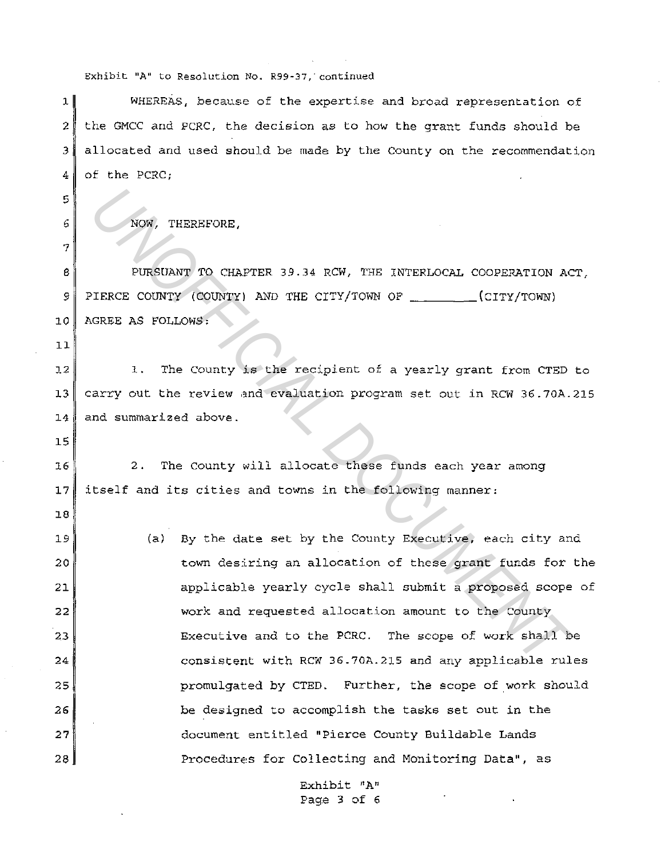#### **Exhibit 11A11 to Resolution No.** R99-37~·continued

1 WHEREAS, because of the expertise and broad representation of  $2$  the GMCC and PCRC, the decision as to how the grant funds should be  $3$  allocated and used should be made by the County on the recommendation 4 of the PCRC:

6 NOW, THEREFORE,

8 PURSUANT TO CHAPTER 39.34 RCW, THE INTERLOCAL COOPERATION ACT, 9 PIERCE COUNTY (COUNTY) AND THE CITY/TOWN OF \_\_\_\_\_\_\_(CITY/TOWN) 10 AGREE AS FOLLOWS:

11

15

18

5

7

 $12$  1. The County is the recipient of a yearly grant from CTED to 13 carry out the review and evaluation program set out in RCW 36.?0A.215 14 and summarized above.

16 2. The County will allocate these funds each year among 17 itself and its cities and towns in the following manner:

19 20 21 22 23 24 25 26 27 28 (a) By the date set by the County Executive, each city and town desiring an allocation of these grant funds for the applicable yearly cycle shall submit a proposed scope of work and requested allocation amount to the County Executive! and to the PCRC. The scope of work shall be consistent with RCW 36.?0A.215 and any applicable rules promulgated by CTED. Further, the scope of work should be designed to accomplish the tasks set out in the document entitled "Pierce County Buildable Lands Procedures for Collecting and Monitoring Data", as **NOW, THERBFORE,**<br>
PURSURANT TO CHAPTER 39.34 RCW, THE INTERIOCAL COOPERATION AC<br>
PURSURATY TO CHAPTER 39.34 RCW, THE INTERIOCAL COOPERATION AC<br>
ILENCE COUNTY (COUNTY) AND THE CITY/TOWN OF \_\_\_\_\_\_(CITY/TOWN)<br>
1. The County

> Exhibit "A" Page 3 of 6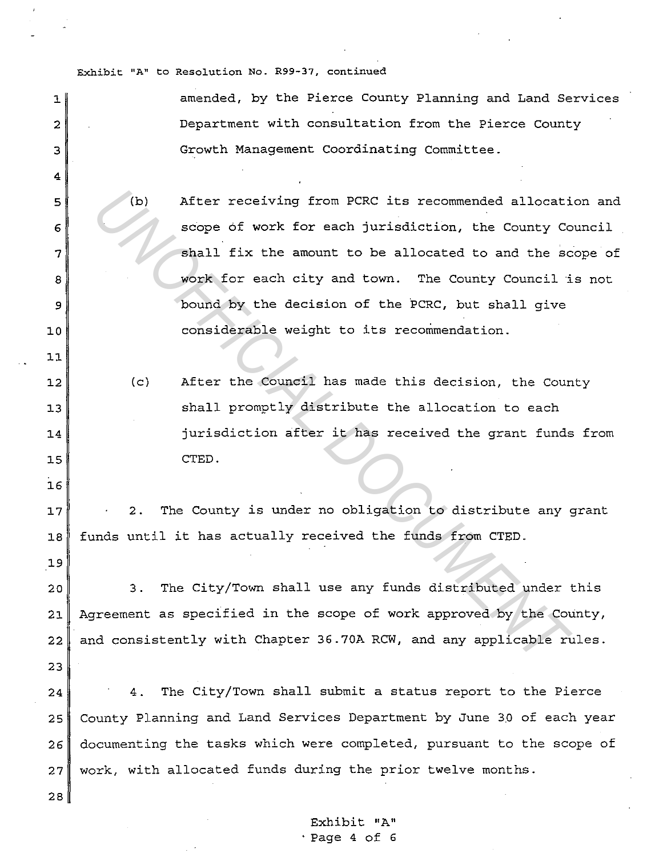Exhibit "A" to Resolution No. R99-37, continued

 $\sim$   $\sim$ 

| ı            | amended, by the Pierce County Planning and Land Services             |
|--------------|----------------------------------------------------------------------|
| $\mathbf{2}$ | Department with consultation from the Pierce County                  |
| 3            | Growth Management Coordinating Committee.                            |
| 4            |                                                                      |
| 5            | After receiving from PCRC its recommended allocation and<br>(b)      |
| 6            | scope of work for each jurisdiction, the County Council              |
| 7            | shall fix the amount to be allocated to and the scope of             |
| 8            | work for each city and town. The County Council is not               |
| 9            | bound by the decision of the PCRC, but shall give                    |
| 10           | considerable weight to its recommendation.                           |
| 11           |                                                                      |
| 12           | After the Council has made this decision, the County<br>(c)          |
| 13           | shall promptly distribute the allocation to each                     |
| 14           | jurisdiction after it has received the grant funds from              |
| 15           | CTED.                                                                |
| 16           |                                                                      |
| 17           | The County is under no obligation to distribute any grant<br>$2$ .   |
| 18           | funds until it has actually received the funds from CTED.            |
| 19           |                                                                      |
| 20           | The City/Town shall use any funds distributed under this<br>$3 -$    |
| 21           | Agreement as specified in the scope of work approved by the County,  |
| 22           | and consistently with Chapter 36.70A RCW, and any applicable rules.  |
| 23           |                                                                      |
| 24           | 4. The City/Town shall submit a status report to the Pierce          |
| 25           | County Planning and Land Services Department by June 30 of each year |
| 26           | documenting the tasks which were completed, pursuant to the scope of |
| 27           | work, with allocated funds during the prior twelve months.           |
| 28           |                                                                      |
|              |                                                                      |

 $\ddot{\phantom{a}}$ 

Exhibit "A" ·Page 4 of 6

 $\sim 10^{-1}$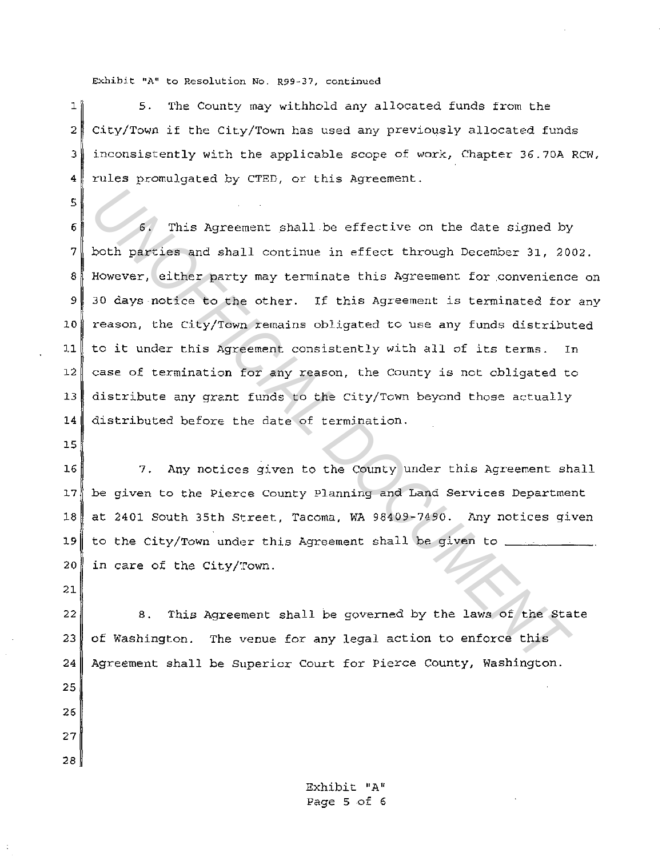Exhibit "A" to Resolution No. R99-37, continued

1<sup>1</sup> 5. The County may withhold any allocated funds from the 2 City/Town if the City/Town has used any previously allocated funds 3 inconsistently with the applicable scope of work, Chapter 36.70A RCW, 4 rules promulgated by CTED, or this Agreement.

**5.** This Agreement shall be effective on the date signed by both partics and shall continue in effect through December 31, 20 However, either party may terminate this Agreement for convenience 30 days notice to the other. 6 This Agreement shall be effective on the date signed by 7 both parties and shall continue in effect through December 31, 2002. 8 However, either party may terminate this Agreement for .convenience on 9 30 days notice to the other. If this Agreement is terminated for any 10 reason, the City/Town remains obligated to use any funds distributed 11 to it under this Agreement consistently with all of its terms. In 12 case of termination for any reason, the County is not obligated to 13 distribute any grant funds to the City/Town beyond those actually 14 distributed before the date of termination.

15

5

16 7. Any notices given to the County under this Agreement shall J.7 be given to the Pierce County Planning and Land Services Department 18 at 2401 South 35th Street, Tacoma, WA 98409-7490. Any notices given  $19$  to the City/Town under this Agreement shall be given to 20 in care of the City/Town.

21

22 8. This Agreement shall be governed by the laws of the State 23 of Washington. The venue for any legal action to enforce this 24 Agreement shall be Superior Court for Pierce County, Washington.

25 26

27

28